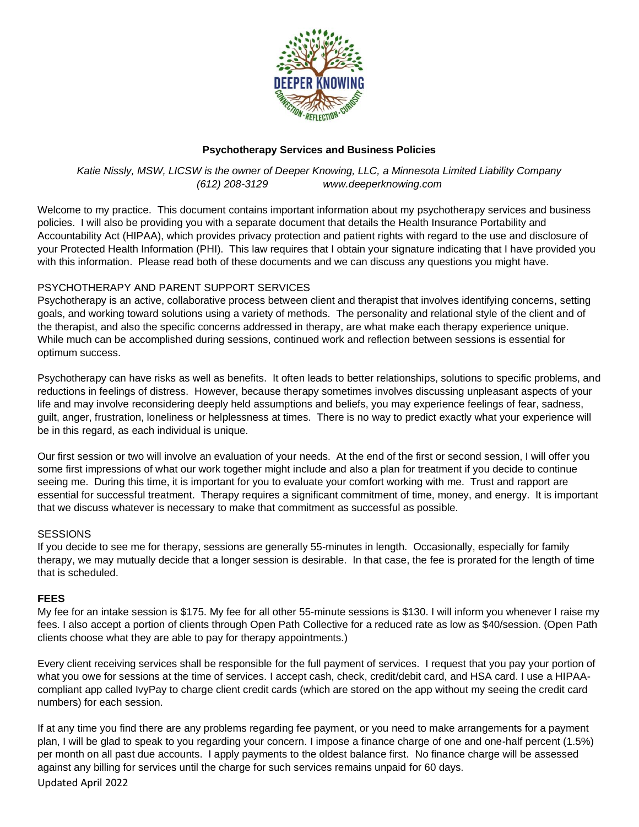

## **Psychotherapy Services and Business Policies**

*Katie Nissly, MSW, LICSW is the owner of Deeper Knowing, LLC, a Minnesota Limited Liability Company (612) 208-3129 www.deeperknowing.com*

Welcome to my practice. This document contains important information about my psychotherapy services and business policies. I will also be providing you with a separate document that details the Health Insurance Portability and Accountability Act (HIPAA), which provides privacy protection and patient rights with regard to the use and disclosure of your Protected Health Information (PHI). This law requires that I obtain your signature indicating that I have provided you with this information. Please read both of these documents and we can discuss any questions you might have.

# PSYCHOTHERAPY AND PARENT SUPPORT SERVICES

Psychotherapy is an active, collaborative process between client and therapist that involves identifying concerns, setting goals, and working toward solutions using a variety of methods. The personality and relational style of the client and of the therapist, and also the specific concerns addressed in therapy, are what make each therapy experience unique. While much can be accomplished during sessions, continued work and reflection between sessions is essential for optimum success.

Psychotherapy can have risks as well as benefits. It often leads to better relationships, solutions to specific problems, and reductions in feelings of distress. However, because therapy sometimes involves discussing unpleasant aspects of your life and may involve reconsidering deeply held assumptions and beliefs, you may experience feelings of fear, sadness, guilt, anger, frustration, loneliness or helplessness at times. There is no way to predict exactly what your experience will be in this regard, as each individual is unique.

Our first session or two will involve an evaluation of your needs. At the end of the first or second session, I will offer you some first impressions of what our work together might include and also a plan for treatment if you decide to continue seeing me. During this time, it is important for you to evaluate your comfort working with me. Trust and rapport are essential for successful treatment. Therapy requires a significant commitment of time, money, and energy. It is important that we discuss whatever is necessary to make that commitment as successful as possible.

## **SESSIONS**

If you decide to see me for therapy, sessions are generally 55-minutes in length. Occasionally, especially for family therapy, we may mutually decide that a longer session is desirable. In that case, the fee is prorated for the length of time that is scheduled.

#### **FEES**

My fee for an intake session is \$175. My fee for all other 55-minute sessions is \$130. I will inform you whenever I raise my fees. I also accept a portion of clients through Open Path Collective for a reduced rate as low as \$40/session. (Open Path clients choose what they are able to pay for therapy appointments.)

Every client receiving services shall be responsible for the full payment of services. I request that you pay your portion of what you owe for sessions at the time of services. I accept cash, check, credit/debit card, and HSA card. I use a HIPAAcompliant app called IvyPay to charge client credit cards (which are stored on the app without my seeing the credit card numbers) for each session.

If at any time you find there are any problems regarding fee payment, or you need to make arrangements for a payment plan, I will be glad to speak to you regarding your concern. I impose a finance charge of one and one-half percent (1.5%) per month on all past due accounts. I apply payments to the oldest balance first. No finance charge will be assessed against any billing for services until the charge for such services remains unpaid for 60 days.

Updated April 2022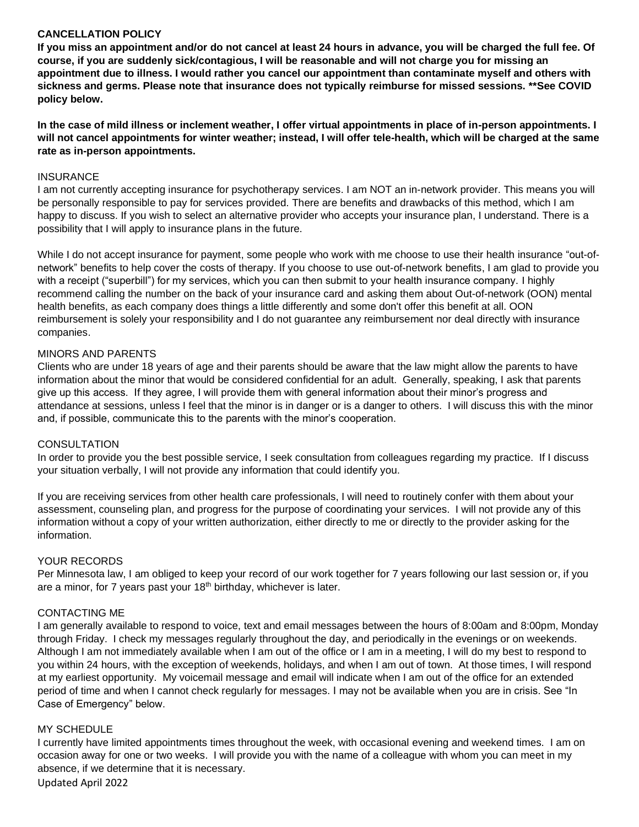## **CANCELLATION POLICY**

**If you miss an appointment and/or do not cancel at least 24 hours in advance, you will be charged the full fee. Of course, if you are suddenly sick/contagious, I will be reasonable and will not charge you for missing an appointment due to illness. I would rather you cancel our appointment than contaminate myself and others with sickness and germs. Please note that insurance does not typically reimburse for missed sessions. \*\*See COVID policy below.**

**In the case of mild illness or inclement weather, I offer virtual appointments in place of in-person appointments. I will not cancel appointments for winter weather; instead, I will offer tele-health, which will be charged at the same rate as in-person appointments.**

#### **INSURANCE**

I am not currently accepting insurance for psychotherapy services. I am NOT an in-network provider. This means you will be personally responsible to pay for services provided. There are benefits and drawbacks of this method, which I am happy to discuss. If you wish to select an alternative provider who accepts your insurance plan, I understand. There is a possibility that I will apply to insurance plans in the future.

While I do not accept insurance for payment, some people who work with me choose to use their health insurance "out-ofnetwork" benefits to help cover the costs of therapy. If you choose to use out-of-network benefits, I am glad to provide you with a receipt ("superbill") for my services, which you can then submit to your health insurance company. I highly recommend calling the number on the back of your insurance card and asking them about Out-of-network (OON) mental health benefits, as each company does things a little differently and some don't offer this benefit at all. OON reimbursement is solely your responsibility and I do not guarantee any reimbursement nor deal directly with insurance companies.

### MINORS AND PARENTS

Clients who are under 18 years of age and their parents should be aware that the law might allow the parents to have information about the minor that would be considered confidential for an adult. Generally, speaking, I ask that parents give up this access. If they agree, I will provide them with general information about their minor's progress and attendance at sessions, unless I feel that the minor is in danger or is a danger to others. I will discuss this with the minor and, if possible, communicate this to the parents with the minor's cooperation.

#### **CONSULTATION**

In order to provide you the best possible service, I seek consultation from colleagues regarding my practice. If I discuss your situation verbally, I will not provide any information that could identify you.

If you are receiving services from other health care professionals, I will need to routinely confer with them about your assessment, counseling plan, and progress for the purpose of coordinating your services. I will not provide any of this information without a copy of your written authorization, either directly to me or directly to the provider asking for the information.

## YOUR RECORDS

Per Minnesota law, I am obliged to keep your record of our work together for 7 years following our last session or, if you are a minor, for  $7$  years past your  $18<sup>th</sup>$  birthday, whichever is later.

#### CONTACTING ME

I am generally available to respond to voice, text and email messages between the hours of 8:00am and 8:00pm, Monday through Friday. I check my messages regularly throughout the day, and periodically in the evenings or on weekends. Although I am not immediately available when I am out of the office or I am in a meeting, I will do my best to respond to you within 24 hours, with the exception of weekends, holidays, and when I am out of town. At those times, I will respond at my earliest opportunity. My voicemail message and email will indicate when I am out of the office for an extended period of time and when I cannot check regularly for messages. I may not be available when you are in crisis. See "In Case of Emergency" below.

### MY SCHEDULE

I currently have limited appointments times throughout the week, with occasional evening and weekend times. I am on occasion away for one or two weeks. I will provide you with the name of a colleague with whom you can meet in my absence, if we determine that it is necessary.

Updated April 2022